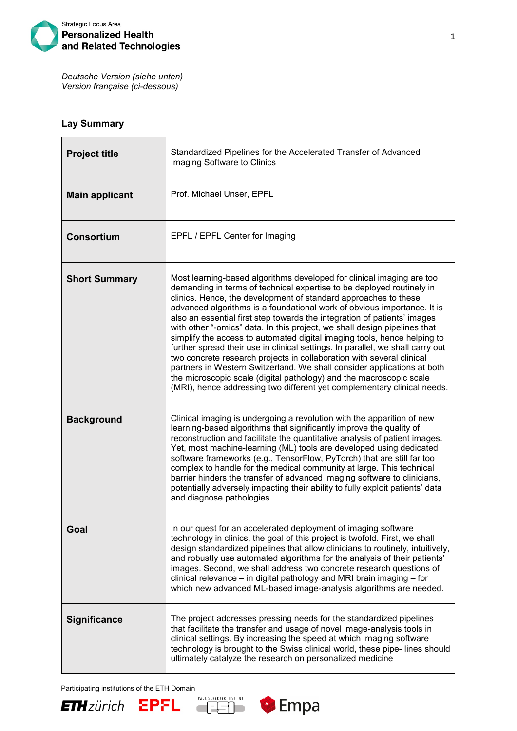

*Deutsche Version (siehe unten) Version française (ci-dessous)*

## **Lay Summary**

| <b>Project title</b>  | Standardized Pipelines for the Accelerated Transfer of Advanced<br>Imaging Software to Clinics                                                                                                                                                                                                                                                                                                                                                                                                                                                                                                                                                                                                                                                                                                                                                                                                                            |
|-----------------------|---------------------------------------------------------------------------------------------------------------------------------------------------------------------------------------------------------------------------------------------------------------------------------------------------------------------------------------------------------------------------------------------------------------------------------------------------------------------------------------------------------------------------------------------------------------------------------------------------------------------------------------------------------------------------------------------------------------------------------------------------------------------------------------------------------------------------------------------------------------------------------------------------------------------------|
| <b>Main applicant</b> | Prof. Michael Unser, EPFL                                                                                                                                                                                                                                                                                                                                                                                                                                                                                                                                                                                                                                                                                                                                                                                                                                                                                                 |
| <b>Consortium</b>     | EPFL / EPFL Center for Imaging                                                                                                                                                                                                                                                                                                                                                                                                                                                                                                                                                                                                                                                                                                                                                                                                                                                                                            |
| <b>Short Summary</b>  | Most learning-based algorithms developed for clinical imaging are too<br>demanding in terms of technical expertise to be deployed routinely in<br>clinics. Hence, the development of standard approaches to these<br>advanced algorithms is a foundational work of obvious importance. It is<br>also an essential first step towards the integration of patients' images<br>with other "-omics" data. In this project, we shall design pipelines that<br>simplify the access to automated digital imaging tools, hence helping to<br>further spread their use in clinical settings. In parallel, we shall carry out<br>two concrete research projects in collaboration with several clinical<br>partners in Western Switzerland. We shall consider applications at both<br>the microscopic scale (digital pathology) and the macroscopic scale<br>(MRI), hence addressing two different yet complementary clinical needs. |
| <b>Background</b>     | Clinical imaging is undergoing a revolution with the apparition of new<br>learning-based algorithms that significantly improve the quality of<br>reconstruction and facilitate the quantitative analysis of patient images.<br>Yet, most machine-learning (ML) tools are developed using dedicated<br>software frameworks (e.g., TensorFlow, PyTorch) that are still far too<br>complex to handle for the medical community at large. This technical<br>barrier hinders the transfer of advanced imaging software to clinicians,<br>potentially adversely impacting their ability to fully exploit patients' data<br>and diagnose pathologies.                                                                                                                                                                                                                                                                            |
| Goal                  | In our quest for an accelerated deployment of imaging software<br>technology in clinics, the goal of this project is twofold. First, we shall<br>design standardized pipelines that allow clinicians to routinely, intuitively,<br>and robustly use automated algorithms for the analysis of their patients'<br>images. Second, we shall address two concrete research questions of<br>clinical relevance – in digital pathology and MRI brain imaging – for<br>which new advanced ML-based image-analysis algorithms are needed.                                                                                                                                                                                                                                                                                                                                                                                         |
| <b>Significance</b>   | The project addresses pressing needs for the standardized pipelines<br>that facilitate the transfer and usage of novel image-analysis tools in<br>clinical settings. By increasing the speed at which imaging software<br>technology is brought to the Swiss clinical world, these pipe-lines should<br>ultimately catalyze the research on personalized medicine                                                                                                                                                                                                                                                                                                                                                                                                                                                                                                                                                         |





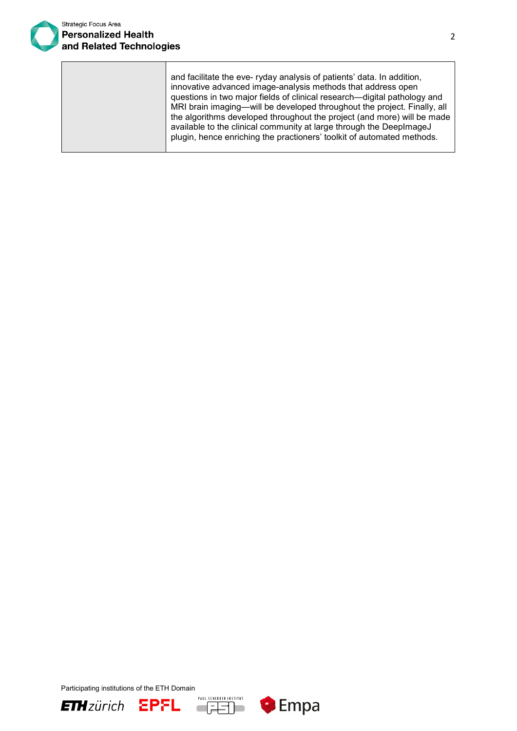

and facilitate the eve- ryday analysis of patients' data. In addition, innovative advanced image-analysis methods that address open questions in two major fields of clinical research—digital pathology and MRI brain imaging—will be developed throughout the project. Finally, all the algorithms developed throughout the project (and more) will be made available to the clinical community at large through the DeepImageJ plugin, hence enriching the practioners' toolkit of automated methods.

Participating institutions of the ETH Domain





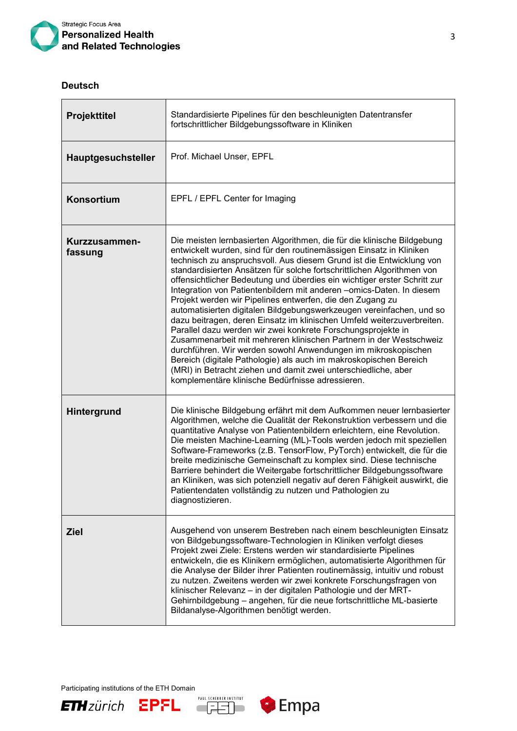

## **Deutsch**

| <b>Projekttitel</b>      | Standardisierte Pipelines für den beschleunigten Datentransfer<br>fortschrittlicher Bildgebungssoftware in Kliniken                                                                                                                                                                                                                                                                                                                                                                                                                                                                                                                                                                                                                                                                                                                                                                                                                                                                                                                                                   |
|--------------------------|-----------------------------------------------------------------------------------------------------------------------------------------------------------------------------------------------------------------------------------------------------------------------------------------------------------------------------------------------------------------------------------------------------------------------------------------------------------------------------------------------------------------------------------------------------------------------------------------------------------------------------------------------------------------------------------------------------------------------------------------------------------------------------------------------------------------------------------------------------------------------------------------------------------------------------------------------------------------------------------------------------------------------------------------------------------------------|
| Hauptgesuchsteller       | Prof. Michael Unser, EPFL                                                                                                                                                                                                                                                                                                                                                                                                                                                                                                                                                                                                                                                                                                                                                                                                                                                                                                                                                                                                                                             |
| Konsortium               | EPFL / EPFL Center for Imaging                                                                                                                                                                                                                                                                                                                                                                                                                                                                                                                                                                                                                                                                                                                                                                                                                                                                                                                                                                                                                                        |
| Kurzzusammen-<br>fassung | Die meisten lernbasierten Algorithmen, die für die klinische Bildgebung<br>entwickelt wurden, sind für den routinemässigen Einsatz in Kliniken<br>technisch zu anspruchsvoll. Aus diesem Grund ist die Entwicklung von<br>standardisierten Ansätzen für solche fortschrittlichen Algorithmen von<br>offensichtlicher Bedeutung und überdies ein wichtiger erster Schritt zur<br>Integration von Patientenbildern mit anderen -omics-Daten. In diesem<br>Projekt werden wir Pipelines entwerfen, die den Zugang zu<br>automatisierten digitalen Bildgebungswerkzeugen vereinfachen, und so<br>dazu beitragen, deren Einsatz im klinischen Umfeld weiterzuverbreiten.<br>Parallel dazu werden wir zwei konkrete Forschungsprojekte in<br>Zusammenarbeit mit mehreren klinischen Partnern in der Westschweiz<br>durchführen. Wir werden sowohl Anwendungen im mikroskopischen<br>Bereich (digitale Pathologie) als auch im makroskopischen Bereich<br>(MRI) in Betracht ziehen und damit zwei unterschiedliche, aber<br>komplementäre klinische Bedürfnisse adressieren. |
| Hintergrund              | Die klinische Bildgebung erfährt mit dem Aufkommen neuer lernbasierter<br>Algorithmen, welche die Qualität der Rekonstruktion verbessern und die<br>quantitative Analyse von Patientenbildern erleichtern, eine Revolution.<br>Die meisten Machine-Learning (ML)-Tools werden jedoch mit speziellen<br>Software-Frameworks (z.B. TensorFlow, PyTorch) entwickelt, die für die<br>breite medizinische Gemeinschaft zu komplex sind. Diese technische<br>Barriere behindert die Weitergabe fortschrittlicher Bildgebungssoftware<br>an Kliniken, was sich potenziell negativ auf deren Fähigkeit auswirkt, die<br>Patientendaten vollständig zu nutzen und Pathologien zu<br>diagnostizieren.                                                                                                                                                                                                                                                                                                                                                                           |
| <b>Ziel</b>              | Ausgehend von unserem Bestreben nach einem beschleunigten Einsatz<br>von Bildgebungssoftware-Technologien in Kliniken verfolgt dieses<br>Projekt zwei Ziele: Erstens werden wir standardisierte Pipelines<br>entwickeln, die es Klinikern ermöglichen, automatisierte Algorithmen für<br>die Analyse der Bilder ihrer Patienten routinemässig, intuitiv und robust<br>zu nutzen. Zweitens werden wir zwei konkrete Forschungsfragen von<br>klinischer Relevanz - in der digitalen Pathologie und der MRT-<br>Gehirnbildgebung - angehen, für die neue fortschrittliche ML-basierte<br>Bildanalyse-Algorithmen benötigt werden.                                                                                                                                                                                                                                                                                                                                                                                                                                        |







 $\overline{\phantom{a}}$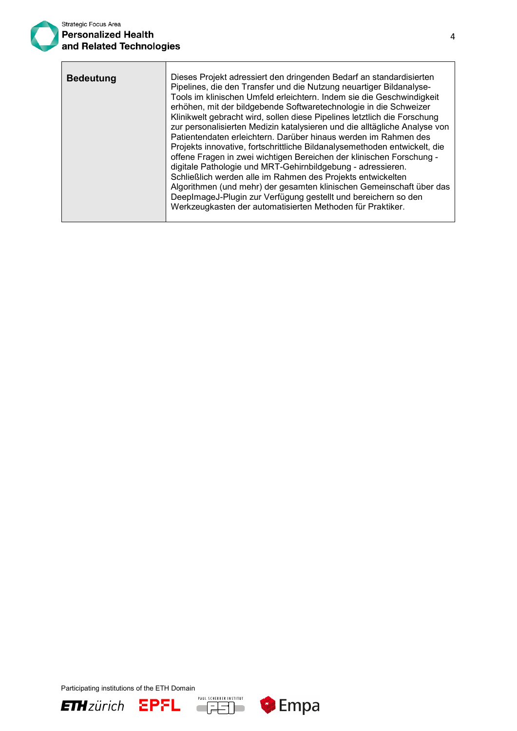ℸ

| <b>Bedeutung</b> | Dieses Projekt adressiert den dringenden Bedarf an standardisierten<br>Pipelines, die den Transfer und die Nutzung neuartiger Bildanalyse-<br>Tools im klinischen Umfeld erleichtern. Indem sie die Geschwindigkeit<br>erhöhen, mit der bildgebende Softwaretechnologie in die Schweizer<br>Klinikwelt gebracht wird, sollen diese Pipelines letztlich die Forschung<br>zur personalisierten Medizin katalysieren und die alltägliche Analyse von<br>Patientendaten erleichtern. Darüber hinaus werden im Rahmen des<br>Projekts innovative, fortschrittliche Bildanalysemethoden entwickelt, die<br>offene Fragen in zwei wichtigen Bereichen der klinischen Forschung -<br>digitale Pathologie und MRT-Gehirnbildgebung - adressieren.<br>Schließlich werden alle im Rahmen des Projekts entwickelten<br>Algorithmen (und mehr) der gesamten klinischen Gemeinschaft über das<br>DeepImageJ-Plugin zur Verfügung gestellt und bereichern so den<br>Werkzeugkasten der automatisierten Methoden für Praktiker. |
|------------------|-----------------------------------------------------------------------------------------------------------------------------------------------------------------------------------------------------------------------------------------------------------------------------------------------------------------------------------------------------------------------------------------------------------------------------------------------------------------------------------------------------------------------------------------------------------------------------------------------------------------------------------------------------------------------------------------------------------------------------------------------------------------------------------------------------------------------------------------------------------------------------------------------------------------------------------------------------------------------------------------------------------------|
|                  |                                                                                                                                                                                                                                                                                                                                                                                                                                                                                                                                                                                                                                                                                                                                                                                                                                                                                                                                                                                                                 |





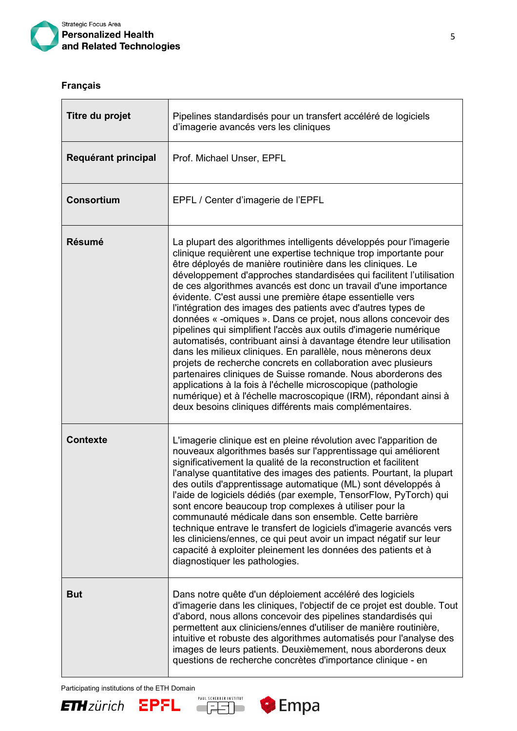

## **Français**

 $\mathbb{R}^n$ 

| Titre du projet     | Pipelines standardisés pour un transfert accéléré de logiciels<br>d'imagerie avancés vers les cliniques                                                                                                                                                                                                                                                                                                                                                                                                                                                                                                                                                                                                                                                                                                                                                                                                                                                                                                                                                                                     |
|---------------------|---------------------------------------------------------------------------------------------------------------------------------------------------------------------------------------------------------------------------------------------------------------------------------------------------------------------------------------------------------------------------------------------------------------------------------------------------------------------------------------------------------------------------------------------------------------------------------------------------------------------------------------------------------------------------------------------------------------------------------------------------------------------------------------------------------------------------------------------------------------------------------------------------------------------------------------------------------------------------------------------------------------------------------------------------------------------------------------------|
| Requérant principal | Prof. Michael Unser, EPFL                                                                                                                                                                                                                                                                                                                                                                                                                                                                                                                                                                                                                                                                                                                                                                                                                                                                                                                                                                                                                                                                   |
| <b>Consortium</b>   | EPFL / Center d'imagerie de l'EPFL                                                                                                                                                                                                                                                                                                                                                                                                                                                                                                                                                                                                                                                                                                                                                                                                                                                                                                                                                                                                                                                          |
| <b>Résumé</b>       | La plupart des algorithmes intelligents développés pour l'imagerie<br>clinique requièrent une expertise technique trop importante pour<br>être déployés de manière routinière dans les cliniques. Le<br>développement d'approches standardisées qui facilitent l'utilisation<br>de ces algorithmes avancés est donc un travail d'une importance<br>évidente. C'est aussi une première étape essentielle vers<br>l'intégration des images des patients avec d'autres types de<br>données « -omiques ». Dans ce projet, nous allons concevoir des<br>pipelines qui simplifient l'accès aux outils d'imagerie numérique<br>automatisés, contribuant ainsi à davantage étendre leur utilisation<br>dans les milieux cliniques. En parallèle, nous mènerons deux<br>projets de recherche concrets en collaboration avec plusieurs<br>partenaires cliniques de Suisse romande. Nous aborderons des<br>applications à la fois à l'échelle microscopique (pathologie<br>numérique) et à l'échelle macroscopique (IRM), répondant ainsi à<br>deux besoins cliniques différents mais complémentaires. |
| <b>Contexte</b>     | L'imagerie clinique est en pleine révolution avec l'apparition de<br>nouveaux algorithmes basés sur l'apprentissage qui améliorent<br>significativement la qualité de la reconstruction et facilitent<br>l'analyse quantitative des images des patients. Pourtant, la plupart<br>des outils d'apprentissage automatique (ML) sont développés à<br>l'aide de logiciels dédiés (par exemple, TensorFlow, PyTorch) qui<br>sont encore beaucoup trop complexes à utiliser pour la<br>communauté médicale dans son ensemble. Cette barrière<br>technique entrave le transfert de logiciels d'imagerie avancés vers<br>les cliniciens/ennes, ce qui peut avoir un impact négatif sur leur<br>capacité à exploiter pleinement les données des patients et à<br>diagnostiquer les pathologies.                                                                                                                                                                                                                                                                                                      |
| <b>But</b>          | Dans notre quête d'un déploiement accéléré des logiciels<br>d'imagerie dans les cliniques, l'objectif de ce projet est double. Tout<br>d'abord, nous allons concevoir des pipelines standardisés qui<br>permettent aux cliniciens/ennes d'utiliser de manière routinière,<br>intuitive et robuste des algorithmes automatisés pour l'analyse des<br>images de leurs patients. Deuxièmement, nous aborderons deux<br>questions de recherche concrètes d'importance clinique - en                                                                                                                                                                                                                                                                                                                                                                                                                                                                                                                                                                                                             |

Participating institutions of the ETH Domain<br> **ETH** ZÜNICH EPFL **EPER**